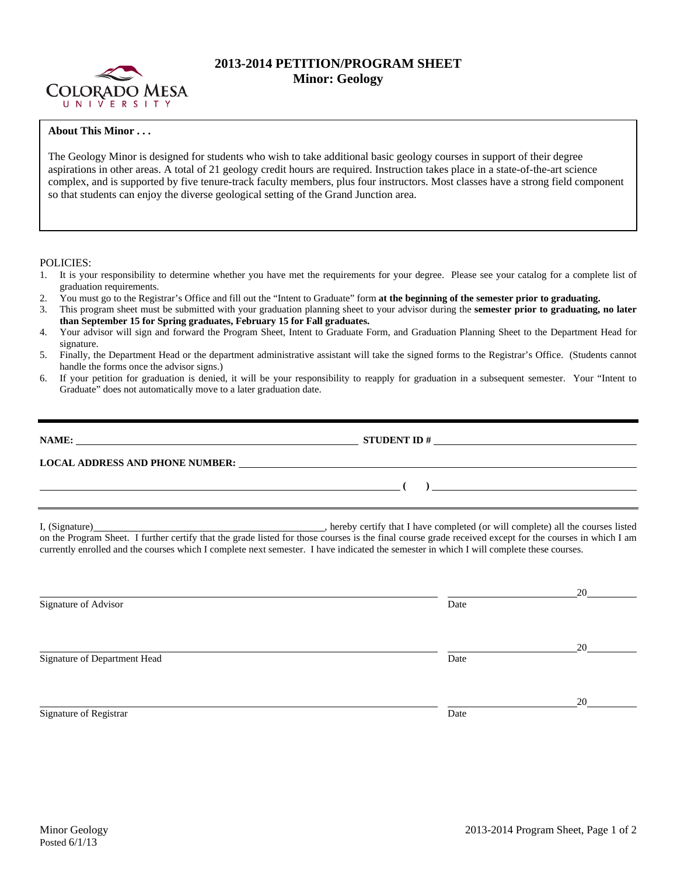

## **2013-2014 PETITION/PROGRAM SHEET Minor: Geology**

## **About This Minor . . .**

The Geology Minor is designed for students who wish to take additional basic geology courses in support of their degree aspirations in other areas. A total of 21 geology credit hours are required. Instruction takes place in a state-of-the-art science complex, and is supported by five tenure-track faculty members, plus four instructors. Most classes have a strong field component so that students can enjoy the diverse geological setting of the Grand Junction area.

POLICIES:

- 1. It is your responsibility to determine whether you have met the requirements for your degree. Please see your catalog for a complete list of graduation requirements.
- 2. You must go to the Registrar's Office and fill out the "Intent to Graduate" form **at the beginning of the semester prior to graduating.**
- 3. This program sheet must be submitted with your graduation planning sheet to your advisor during the **semester prior to graduating, no later than September 15 for Spring graduates, February 15 for Fall graduates.**
- 4. Your advisor will sign and forward the Program Sheet, Intent to Graduate Form, and Graduation Planning Sheet to the Department Head for signature.
- 5. Finally, the Department Head or the department administrative assistant will take the signed forms to the Registrar's Office. (Students cannot handle the forms once the advisor signs.)
- 6. If your petition for graduation is denied, it will be your responsibility to reapply for graduation in a subsequent semester. Your "Intent to Graduate" does not automatically move to a later graduation date.

| NAME:                                  | <b>STUDENT ID #</b> | <u> 1980 - John Stein, Amerikaansk politiker (</u> |
|----------------------------------------|---------------------|----------------------------------------------------|
| <b>LOCAL ADDRESS AND PHONE NUMBER:</b> |                     |                                                    |

I, (Signature) , hereby certify that I have completed (or will complete) all the courses listed on the Program Sheet. I further certify that the grade listed for those courses is the final course grade received except for the courses in which I am currently enrolled and the courses which I complete next semester. I have indicated the semester in which I will complete these courses.

|      | 20 |
|------|----|
| Date |    |
|      |    |
|      | 20 |
| Date |    |
|      |    |
|      | 20 |
| Date |    |
|      |    |